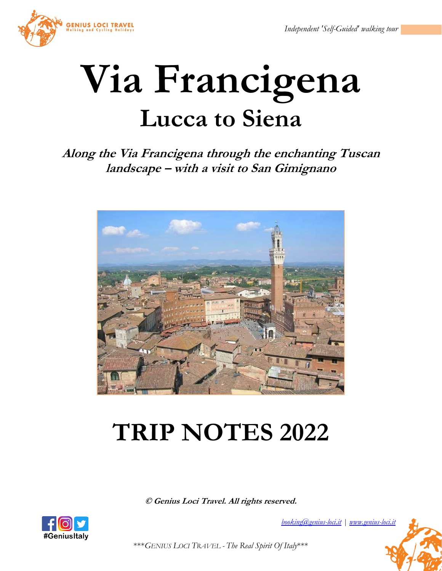

# **Via Francigena Lucca to Siena**

## **Along the Via Francigena through the enchanting Tuscan landscape – with a visit to San Gimignano**



## **TRIP NOTES 2022**

**© Genius Loci Travel. All rights reserved.**



*[booking@genius-loci.it](mailto:booking@genius-loci.it) [| www.genius-loci.it](http://www.genius-loci.it/)*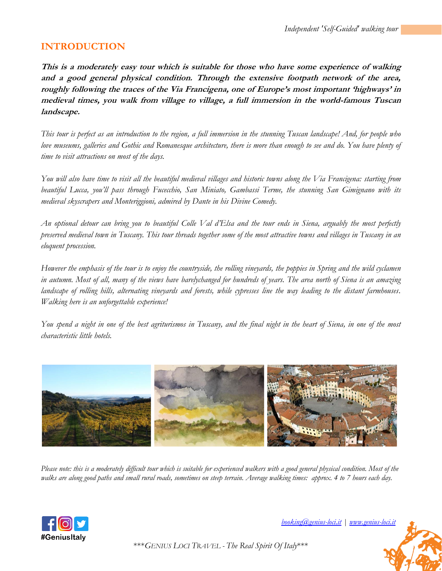## **INTRODUCTION**

**This is a moderately easy tour which is suitable for those who have some experience of walking and a good general physical condition. Through the extensive footpath network of the area, roughly following the traces of the Via Francigena, one of Europe's most important 'highways' in medieval times, you walk from village to village, a full immersion in the world-famous Tuscan landscape.**

*This tour is perfect as an introduction to the region, a full immersion in the stunning Tuscan landscape! And, for people who love museums, galleries and Gothic and Romanesque architecture, there is more than enough to see and do. You have plenty of time to visit attractions on most of the days.*

*You will also have time to visit all the beautiful medieval villages and historic towns along the Via Francigena: starting from beautiful Lucca, you'll pass through Fucecchio, San Miniato, Gambassi Terme, the stunning San Gimignano with its medieval skyscrapers and Monteriggioni, admired by Dante in his Divine Comedy.*

*An optional detour can bring you to beautiful Colle Val d'Elsa and the tour ends in Siena, arguably the most perfectly preserved medieval town in Tuscany. This tour threads together some of the most attractive towns and villages in Tuscany in an eloquent procession.*

*However the emphasis of the tour is to enjoy the countryside, the rolling vineyards, the poppies in Spring and the wild cyclamen in autumn. Most of all, many of the views have barelychanged for hundreds of years. The area north of Siena is an amazing landscape of rolling hills, alternating vineyards and forests, while cypresses line the way leading to the distant farmhouses. Walking here is an unforgettable experience!*

*You spend a night in one of the best agriturismos in Tuscany, and the final night in the heart of Siena, in one of the most characteristic little hotels.*



*Please note: this is a moderately difficult tour which is suitable for experienced walkers with a good general physical condition. Most of the walks are along good paths and small rural roads, sometimes on steep terrain. Average walking times: approx. 4 to 7 hours each day.*



*[booking@genius-loci.it](mailto:booking@genius-loci.it) [| www.genius-loci.it](http://www.genius-loci.it/)*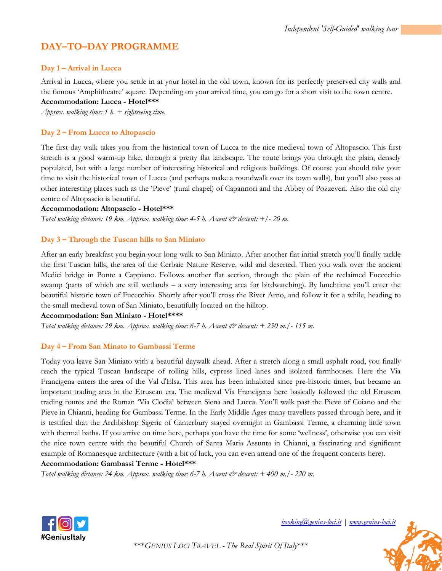## **DAY–TO–DAY PROGRAMME**

#### **Day 1 – Arrival in Lucca**

Arrival in Lucca, where you settle in at your hotel in the old town, known for its perfectly preserved city walls and the famous 'Amphitheatre' square. Depending on your arrival time, you can go for a short visit to the town centre. **Accommodation: Lucca - Hotel\*\*\*** 

*Approx. walking time: 1 h. + sightseeing time.*

#### **Day 2 – From Lucca to Altopascio**

The first day walk takes you from the historical town of Lucca to the nice medieval town of Altopascio. This first stretch is a good warm-up hike, through a pretty flat landscape. The route brings you through the plain, densely populated, but with a large number of interesting historical and religious buildings. Of course you should take your time to visit the historical town of Lucca (and perhaps make a roundwalk over its town walls), but you'll also pass at other interesting places such as the 'Pieve' (rural chapel) of Capannori and the Abbey of Pozzeveri. Also the old city centre of Altopascio is beautiful.

#### **Accommodation: Altopascio - Hotel\*\*\***

*Total walking distance: 19 km. Approx. walking time: 4-5 h. Ascent & descent: +/- 20 m.*

#### **Day 3 – Through the Tuscan hills to San Miniato**

After an early breakfast you begin your long walk to San Miniato. After another flat initial stretch you'll finally tackle the first Tuscan hills, the area of the Cerbaie Nature Reserve, wild and deserted. Then you walk over the ancient Medici bridge in Ponte a Cappiano. Follows another flat section, through the plain of the reclaimed Fucecchio swamp (parts of which are still wetlands – a very interesting area for birdwatching). By lunchtime you'll enter the beautiful historic town of Fucecchio. Shortly after you'll cross the River Arno, and follow it for a while, heading to the small medieval town of San Miniato, beautifully located on the hilltop.

#### **Accommodation: San Miniato - Hotel\*\*\*\***

*Total walking distance: 29 km. Approx. walking time: 6-7 h. Ascent & descent: + 250 m./- 115 m.*

#### **Day 4 – From San Minato to Gambassi Terme**

Today you leave San Miniato with a beautiful daywalk ahead. After a stretch along a small asphalt road, you finally reach the typical Tuscan landscape of rolling hills, cypress lined lanes and isolated farmhouses. Here the Via Francigena enters the area of the Val d'Elsa. This area has been inhabited since pre-historic times, but became an important trading area in the Etruscan era. The medieval Via Francigena here basically followed the old Etruscan trading routes and the Roman 'Via Clodia' between Siena and Lucca. You'll walk past the Pieve of Coiano and the Pieve in Chianni, heading for Gambassi Terme. In the Early Middle Ages many travellers passed through here, and it is testified that the Archbishop Sigeric of Canterbury stayed overnight in Gambassi Terme, a charming little town with thermal baths. If you arrive on time here, perhaps you have the time for some 'wellness', otherwise you can visit the nice town centre with the beautiful Church of Santa Maria Assunta in Chianni, a fascinating and significant example of Romanesque architecture (with a bit of luck, you can even attend one of the frequent concerts here).

**Accommodation: Gambassi Terme - Hotel\*\*\*** 

*Total walking distance: 24 km. Approx. walking time: 6-7 h. Ascent & descent: + 400 m./- 220 m.*



*[booking@genius-loci.it](mailto:booking@genius-loci.it) [| www.genius-loci.it](http://www.genius-loci.it/)*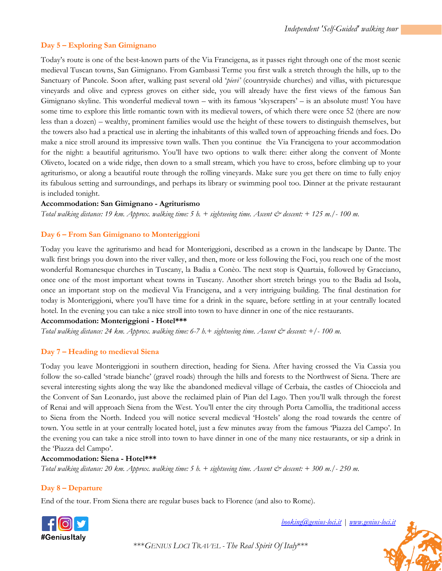#### **Day 5 – Exploring San Gimignano**

Today's route is one of the best-known parts of the Via Francigena, as it passes right through one of the most scenic medieval Tuscan towns, San Gimignano. From Gambassi Terme you first walk a stretch through the hills, up to the Sanctuary of Pancole. Soon after, walking past several old '*pievi'* (countryside churches) and villas, with picturesque vineyards and olive and cypress groves on either side, you will already have the first views of the famous San Gimignano skyline. This wonderful medieval town – with its famous 'skyscrapers' – is an absolute must! You have some time to explore this little romantic town with its medieval towers, of which there were once 52 (there are now less than a dozen) – wealthy, prominent families would use the height of these towers to distinguish themselves, but the towers also had a practical use in alerting the inhabitants of this walled town of approaching friends and foes. Do make a nice stroll around its impressive town walls. Then you continue the Via Francigena to your accommodation for the night: a beautiful agriturismo. You'll have two options to walk there: either along the convent of Monte Oliveto, located on a wide ridge, then down to a small stream, which you have to cross, before climbing up to your agriturismo, or along a beautiful route through the rolling vineyards. Make sure you get there on time to fully enjoy its fabulous setting and surroundings, and perhaps its library or swimming pool too. Dinner at the private restaurant is included tonight.

#### **Accommodation: San Gimignano - Agriturismo**

*Total walking distance: 19 km. Approx. walking time: 5 h. + sightseeing time. Ascent & descent: + 125 m./- 100 m.*

#### **Day 6 – From San Gimignano to Monteriggioni**

Today you leave the agriturismo and head for Monteriggioni, described as a crown in the landscape by Dante. The walk first brings you down into the river valley, and then, more or less following the Foci, you reach one of the most wonderful Romanesque churches in Tuscany, la Badia a Conèo. The next stop is Quartaia, followed by Gracciano, once one of the most important wheat towns in Tuscany. Another short stretch brings you to the Badia ad Isola, once an important stop on the medieval Via Francigena, and a very intriguing building. The final destination for today is Monteriggioni, where you'll have time for a drink in the square, before settling in at your centrally located hotel. In the evening you can take a nice stroll into town to have dinner in one of the nice restaurants.

#### **Accommodation: Monteriggioni - Hotel\*\*\***

*Total walking distance: 24 km. Approx. walking time: 6-7 h.+ sightseeing time. Ascent & descent: +/- 100 m.*

#### **Day 7 – Heading to medieval Siena**

Today you leave Monteriggioni in southern direction, heading for Siena. After having crossed the Via Cassia you follow the so-called 'strade bianche' (gravel roads) through the hills and forests to the Northwest of Siena. There are several interesting sights along the way like the abandoned medieval village of Cerbaia, the castles of Chiocciola and the Convent of San Leonardo, just above the reclaimed plain of Pian del Lago. Then you'll walk through the forest of Renai and will approach Siena from the West. You'll enter the city through Porta Camollia, the traditional access to Siena from the North. Indeed you will notice several medieval 'Hostels' along the road towards the centre of town. You settle in at your centrally located hotel, just a few minutes away from the famous 'Piazza del Campo'. In the evening you can take a nice stroll into town to have dinner in one of the many nice restaurants, or sip a drink in the 'Piazza del Campo'.

#### **Accommodation: Siena - Hotel\*\*\***

*Total walking distance: 20 km. Approx. walking time: 5 h. + sightseeing time. Ascent & descent: + 300 m./- 250 m.*

#### **Day 8 – Departure**

End of the tour. From Siena there are regular buses back to Florence (and also to Rome).



*[booking@genius-loci.it](mailto:booking@genius-loci.it) [| www.genius-loci.it](http://www.genius-loci.it/)*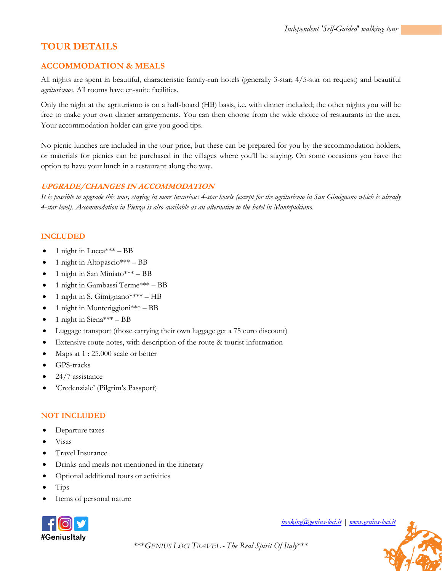## **TOUR DETAILS**

#### **ACCOMMODATION & MEALS**

All nights are spent in beautiful, characteristic family-run hotels (generally 3-star; 4/5-star on request) and beautiful *agriturismos*. All rooms have en-suite facilities.

Only the night at the agriturismo is on a half-board (HB) basis, i.e. with dinner included; the other nights you will be free to make your own dinner arrangements. You can then choose from the wide choice of restaurants in the area. Your accommodation holder can give you good tips.

No picnic lunches are included in the tour price, but these can be prepared for you by the accommodation holders, or materials for picnics can be purchased in the villages where you'll be staying. On some occasions you have the option to have your lunch in a restaurant along the way.

#### **UPGRADE/CHANGES IN ACCOMMODATION**

*It is possible to upgrade this tour, staying in more luxurious 4-star hotels (except for the agriturismo in San Gimignano which is already 4-star level). Accommodation in Pienza is also available as an alternative to the hotel in Montepulciano.*

#### **INCLUDED**

- 1 night in Lucca $*** BB$
- 1 night in Altopascio $*** BB$
- 1 night in San Miniato\*\*\* BB
- 1 night in Gambassi Terme\*\*\* BB
- 1 night in S. Gimignano\*\*\*\*  $HB$
- 1 night in Monteriggioni\*\*\* BB
- $\bullet$  1 night in Siena\*\*\* BB
- Luggage transport (those carrying their own luggage get a 75 euro discount)
- Extensive route notes, with description of the route & tourist information
- Maps at  $1:25.000$  scale or better
- GPS-tracks
- $\bullet$  24/7 assistance
- 'Credenziale' (Pilgrim's Passport)

#### **NOT INCLUDED**

- Departure taxes
- Visas
- Travel Insurance
- Drinks and meals not mentioned in the itinerary
- Optional additional tours or activities
- Tips
- Items of personal nature



*[booking@genius-loci.it](mailto:booking@genius-loci.it) [| www.genius-loci.it](http://www.genius-loci.it/)*